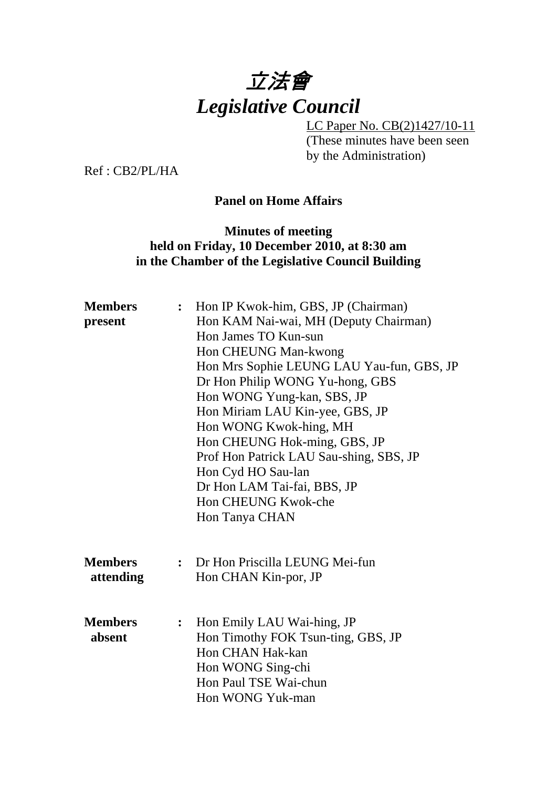

LC Paper No. CB(2)1427/10-11 (These minutes have been seen by the Administration)

Ref : CB2/PL/HA

## **Panel on Home Affairs**

#### **Minutes of meeting held on Friday, 10 December 2010, at 8:30 am in the Chamber of the Legislative Council Building**

| <b>Members</b><br>present   | : Hon IP Kwok-him, GBS, JP (Chairman)<br>Hon KAM Nai-wai, MH (Deputy Chairman)<br>Hon James TO Kun-sun<br>Hon CHEUNG Man-kwong<br>Hon Mrs Sophie LEUNG LAU Yau-fun, GBS, JP<br>Dr Hon Philip WONG Yu-hong, GBS<br>Hon WONG Yung-kan, SBS, JP<br>Hon Miriam LAU Kin-yee, GBS, JP |
|-----------------------------|---------------------------------------------------------------------------------------------------------------------------------------------------------------------------------------------------------------------------------------------------------------------------------|
|                             | Hon WONG Kwok-hing, MH<br>Hon CHEUNG Hok-ming, GBS, JP<br>Prof Hon Patrick LAU Sau-shing, SBS, JP<br>Hon Cyd HO Sau-lan<br>Dr Hon LAM Tai-fai, BBS, JP<br>Hon CHEUNG Kwok-che<br>Hon Tanya CHAN                                                                                 |
| <b>Members</b><br>attending | : Dr Hon Priscilla LEUNG Mei-fun<br>Hon CHAN Kin-por, JP                                                                                                                                                                                                                        |
| <b>Members</b><br>absent    | Hon Emily LAU Wai-hing, JP<br>$\ddot{\cdot}$<br>Hon Timothy FOK Tsun-ting, GBS, JP<br>Hon CHAN Hak-kan<br>Hon WONG Sing-chi<br>Hon Paul TSE Wai-chun<br>Hon WONG Yuk-man                                                                                                        |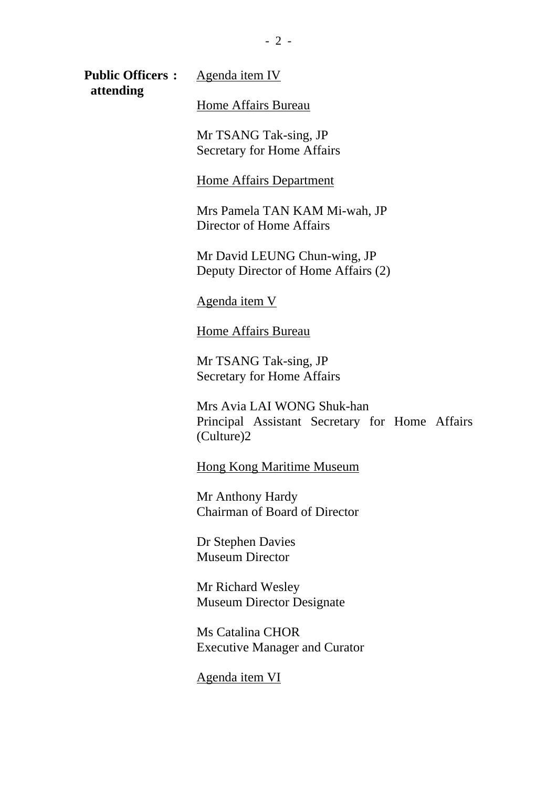**Public Officers :** Agenda item IV  **attending** 

Home Affairs Bureau

Mr TSANG Tak-sing, JP Secretary for Home Affairs

#### Home Affairs Department

Mrs Pamela TAN KAM Mi-wah, JP Director of Home Affairs

Mr David LEUNG Chun-wing, JP Deputy Director of Home Affairs (2)

Agenda item V

Home Affairs Bureau

Mr TSANG Tak-sing, JP Secretary for Home Affairs

Mrs Avia LAI WONG Shuk-han Principal Assistant Secretary for Home Affairs (Culture)2

Hong Kong Maritime Museum

Mr Anthony Hardy Chairman of Board of Director

Dr Stephen Davies Museum Director

Mr Richard Wesley Museum Director Designate

Ms Catalina CHOR Executive Manager and Curator

Agenda item VI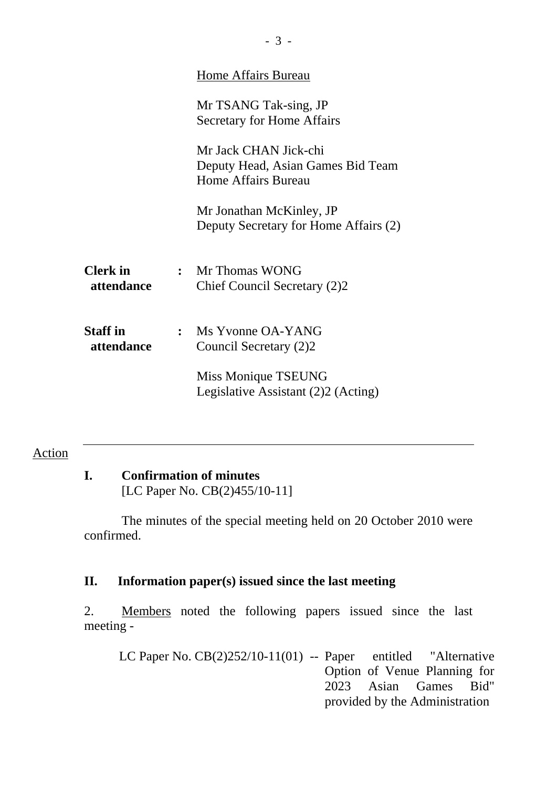|                               |              | <b>Home Affairs Bureau</b>                                                        |
|-------------------------------|--------------|-----------------------------------------------------------------------------------|
|                               |              | Mr TSANG Tak-sing, JP<br><b>Secretary for Home Affairs</b>                        |
|                               |              | Mr Jack CHAN Jick-chi<br>Deputy Head, Asian Games Bid Team<br>Home Affairs Bureau |
|                               |              | Mr Jonathan McKinley, JP<br>Deputy Secretary for Home Affairs (2)                 |
| <b>Clerk</b> in<br>attendance |              | : Mr Thomas WONG<br>Chief Council Secretary (2)2                                  |
| <b>Staff</b> in<br>attendance | $\mathbf{r}$ | Ms Yvonne OA-YANG<br>Council Secretary (2)2                                       |
|                               |              | Miss Monique TSEUNG<br>Legislative Assistant (2)2 (Acting)                        |

**I. Confirmation of minutes** 

[LC Paper No. CB(2)455/10-11]

The minutes of the special meeting held on 20 October 2010 were confirmed.

## **II. Information paper(s) issued since the last meeting**

2. Members noted the following papers issued since the last meeting -

LC Paper No. CB(2)252/10-11(01) -- Paper entitled "Alternative Option of Venue Planning for 2023 Asian Games Bid" provided by the Administration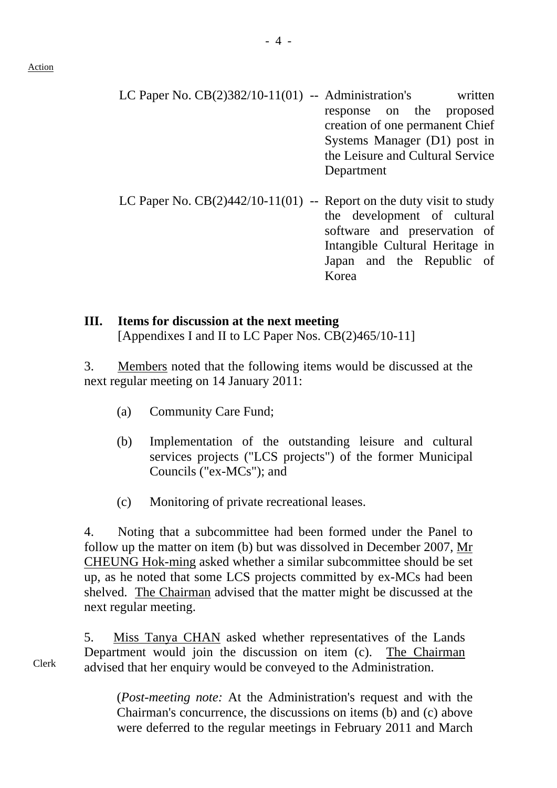- LC Paper No.  $CB(2)382/10-11(01)$  -- Administration's written response on the proposed creation of one permanent Chief Systems Manager (D1) post in the Leisure and Cultural Service Department
- LC Paper No.  $CB(2)442/10-11(01)$  -- Report on the duty visit to study the development of cultural software and preservation of Intangible Cultural Heritage in Japan and the Republic of Korea

#### **III. Items for discussion at the next meeting**  [Appendixes I and II to LC Paper Nos. CB(2)465/10-11]

3. Members noted that the following items would be discussed at the next regular meeting on 14 January 2011:

- (a) Community Care Fund;
- (b) Implementation of the outstanding leisure and cultural services projects ("LCS projects") of the former Municipal Councils ("ex-MCs"); and
- (c) Monitoring of private recreational leases.

4. Noting that a subcommittee had been formed under the Panel to follow up the matter on item (b) but was dissolved in December 2007, Mr CHEUNG Hok-ming asked whether a similar subcommittee should be set up, as he noted that some LCS projects committed by ex-MCs had been shelved. The Chairman advised that the matter might be discussed at the next regular meeting.

5. Miss Tanya CHAN asked whether representatives of the Lands Department would join the discussion on item (c). The Chairman advised that her enquiry would be conveyed to the Administration.

> (*Post-meeting note:* At the Administration's request and with the Chairman's concurrence, the discussions on items (b) and (c) above were deferred to the regular meetings in February 2011 and March

Clerk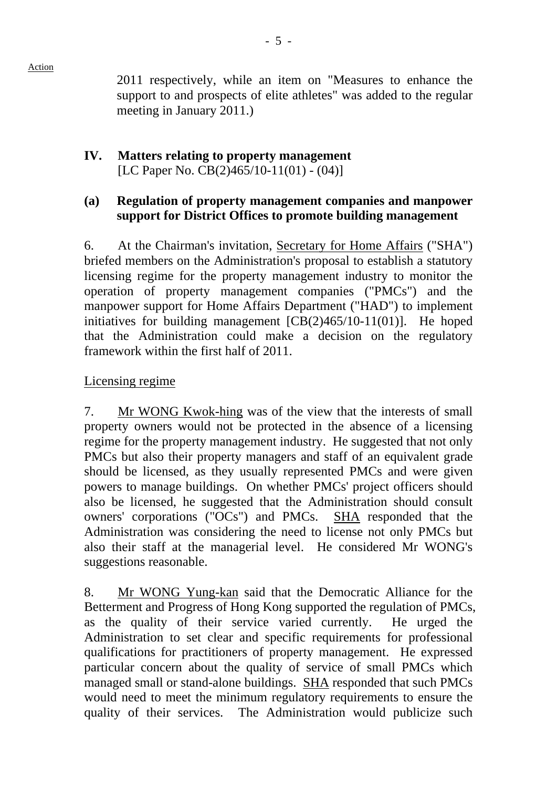2011 respectively, while an item on "Measures to enhance the support to and prospects of elite athletes" was added to the regular meeting in January 2011.)

## **IV. Matters relating to property management**  [LC Paper No. CB(2)465/10-11(01) - (04)]

## **(a) Regulation of property management companies and manpower support for District Offices to promote building management**

6. At the Chairman's invitation, Secretary for Home Affairs ("SHA") briefed members on the Administration's proposal to establish a statutory licensing regime for the property management industry to monitor the operation of property management companies ("PMCs") and the manpower support for Home Affairs Department ("HAD") to implement initiatives for building management [CB(2)465/10-11(01)]. He hoped that the Administration could make a decision on the regulatory framework within the first half of 2011.

## Licensing regime

7. Mr WONG Kwok-hing was of the view that the interests of small property owners would not be protected in the absence of a licensing regime for the property management industry. He suggested that not only PMCs but also their property managers and staff of an equivalent grade should be licensed, as they usually represented PMCs and were given powers to manage buildings. On whether PMCs' project officers should also be licensed, he suggested that the Administration should consult owners' corporations ("OCs") and PMCs. SHA responded that the Administration was considering the need to license not only PMCs but also their staff at the managerial level. He considered Mr WONG's suggestions reasonable.

8. Mr WONG Yung-kan said that the Democratic Alliance for the Betterment and Progress of Hong Kong supported the regulation of PMCs, as the quality of their service varied currently. He urged the Administration to set clear and specific requirements for professional qualifications for practitioners of property management. He expressed particular concern about the quality of service of small PMCs which managed small or stand-alone buildings. SHA responded that such PMCs would need to meet the minimum regulatory requirements to ensure the quality of their services. The Administration would publicize such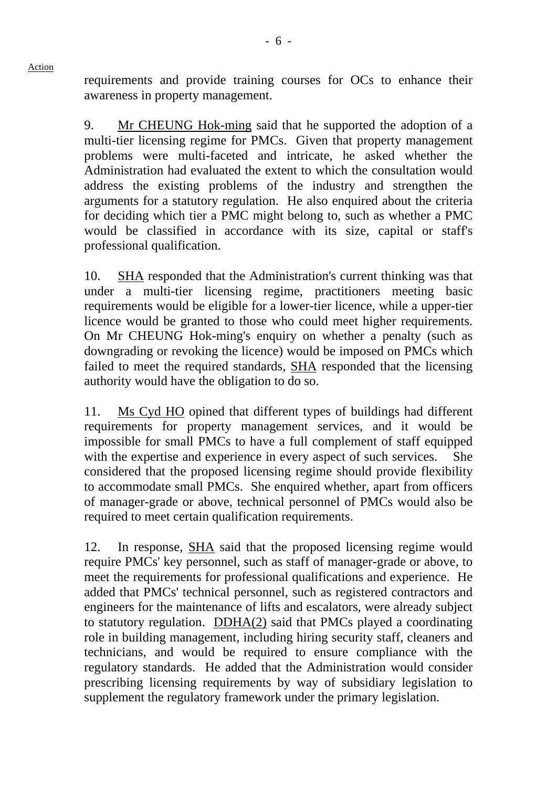requirements and provide training courses for OCs to enhance their awareness in property management.

9. Mr CHEUNG Hok-ming said that he supported the adoption of a multi-tier licensing regime for PMCs. Given that property management problems were multi-faceted and intricate, he asked whether the Administration had evaluated the extent to which the consultation would address the existing problems of the industry and strengthen the arguments for a statutory regulation. He also enquired about the criteria for deciding which tier a PMC might belong to, such as whether a PMC would be classified in accordance with its size, capital or staff's professional qualification.

10. SHA responded that the Administration's current thinking was that under a multi-tier licensing regime, practitioners meeting basic requirements would be eligible for a lower-tier licence, while a upper-tier licence would be granted to those who could meet higher requirements. On Mr CHEUNG Hok-ming's enquiry on whether a penalty (such as downgrading or revoking the licence) would be imposed on PMCs which failed to meet the required standards, SHA responded that the licensing authority would have the obligation to do so.

11. Ms Cyd HO opined that different types of buildings had different requirements for property management services, and it would be impossible for small PMCs to have a full complement of staff equipped with the expertise and experience in every aspect of such services. She considered that the proposed licensing regime should provide flexibility to accommodate small PMCs. She enquired whether, apart from officers of manager-grade or above, technical personnel of PMCs would also be required to meet certain qualification requirements.

12. In response, SHA said that the proposed licensing regime would require PMCs' key personnel, such as staff of manager-grade or above, to meet the requirements for professional qualifications and experience. He added that PMCs' technical personnel, such as registered contractors and engineers for the maintenance of lifts and escalators, were already subject to statutory regulation. DDHA(2) said that PMCs played a coordinating role in building management, including hiring security staff, cleaners and technicians, and would be required to ensure compliance with the regulatory standards. He added that the Administration would consider prescribing licensing requirements by way of subsidiary legislation to supplement the regulatory framework under the primary legislation.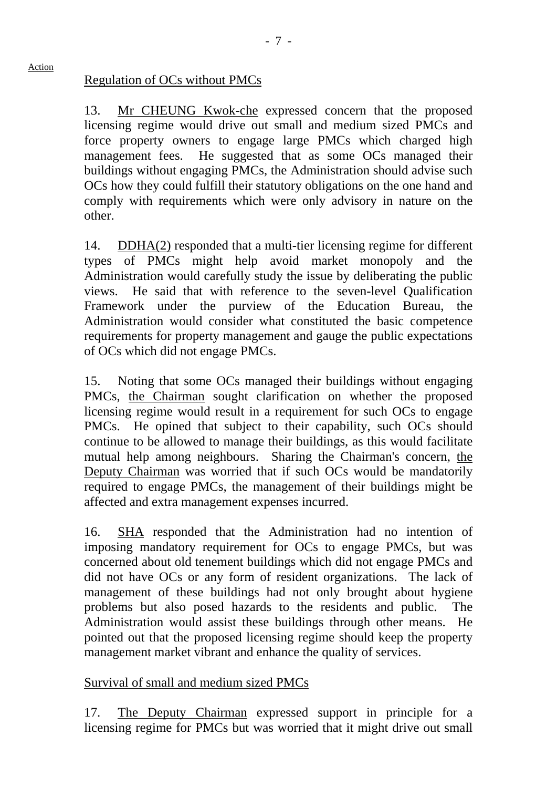#### Regulation of OCs without PMCs

Action

13. Mr CHEUNG Kwok-che expressed concern that the proposed licensing regime would drive out small and medium sized PMCs and force property owners to engage large PMCs which charged high management fees. He suggested that as some OCs managed their buildings without engaging PMCs, the Administration should advise such OCs how they could fulfill their statutory obligations on the one hand and comply with requirements which were only advisory in nature on the other.

14. DDHA(2) responded that a multi-tier licensing regime for different types of PMCs might help avoid market monopoly and the Administration would carefully study the issue by deliberating the public views. He said that with reference to the seven-level Qualification Framework under the purview of the Education Bureau, the Administration would consider what constituted the basic competence requirements for property management and gauge the public expectations of OCs which did not engage PMCs.

15. Noting that some OCs managed their buildings without engaging PMCs, the Chairman sought clarification on whether the proposed licensing regime would result in a requirement for such OCs to engage PMCs. He opined that subject to their capability, such OCs should continue to be allowed to manage their buildings, as this would facilitate mutual help among neighbours. Sharing the Chairman's concern, the Deputy Chairman was worried that if such OCs would be mandatorily required to engage PMCs, the management of their buildings might be affected and extra management expenses incurred.

16. SHA responded that the Administration had no intention of imposing mandatory requirement for OCs to engage PMCs, but was concerned about old tenement buildings which did not engage PMCs and did not have OCs or any form of resident organizations. The lack of management of these buildings had not only brought about hygiene problems but also posed hazards to the residents and public. The Administration would assist these buildings through other means. He pointed out that the proposed licensing regime should keep the property management market vibrant and enhance the quality of services.

#### Survival of small and medium sized PMCs

17. The Deputy Chairman expressed support in principle for a licensing regime for PMCs but was worried that it might drive out small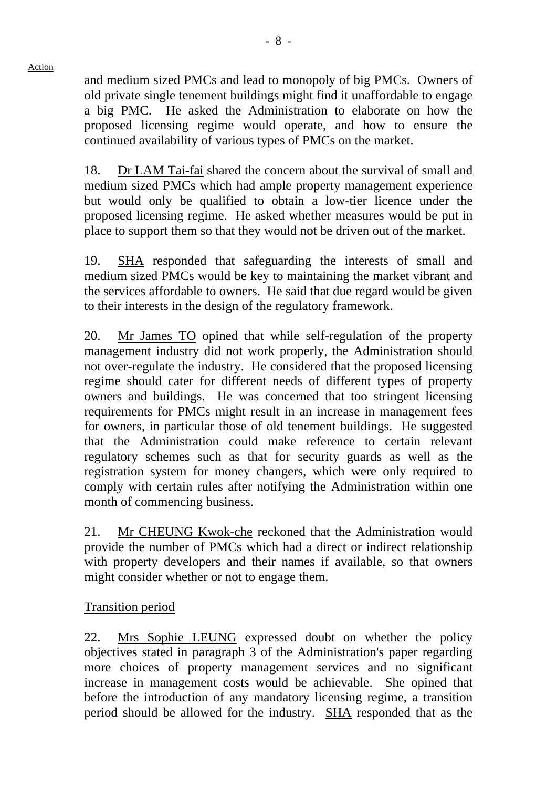and medium sized PMCs and lead to monopoly of big PMCs. Owners of old private single tenement buildings might find it unaffordable to engage a big PMC. He asked the Administration to elaborate on how the proposed licensing regime would operate, and how to ensure the continued availability of various types of PMCs on the market.

18. Dr LAM Tai-fai shared the concern about the survival of small and medium sized PMCs which had ample property management experience but would only be qualified to obtain a low-tier licence under the proposed licensing regime. He asked whether measures would be put in place to support them so that they would not be driven out of the market.

19. SHA responded that safeguarding the interests of small and medium sized PMCs would be key to maintaining the market vibrant and the services affordable to owners. He said that due regard would be given to their interests in the design of the regulatory framework.

20. Mr James TO opined that while self-regulation of the property management industry did not work properly, the Administration should not over-regulate the industry. He considered that the proposed licensing regime should cater for different needs of different types of property owners and buildings. He was concerned that too stringent licensing requirements for PMCs might result in an increase in management fees for owners, in particular those of old tenement buildings. He suggested that the Administration could make reference to certain relevant regulatory schemes such as that for security guards as well as the registration system for money changers, which were only required to comply with certain rules after notifying the Administration within one month of commencing business.

21. Mr CHEUNG Kwok-che reckoned that the Administration would provide the number of PMCs which had a direct or indirect relationship with property developers and their names if available, so that owners might consider whether or not to engage them.

Transition period

22. Mrs Sophie LEUNG expressed doubt on whether the policy objectives stated in paragraph 3 of the Administration's paper regarding more choices of property management services and no significant increase in management costs would be achievable. She opined that before the introduction of any mandatory licensing regime, a transition period should be allowed for the industry. SHA responded that as the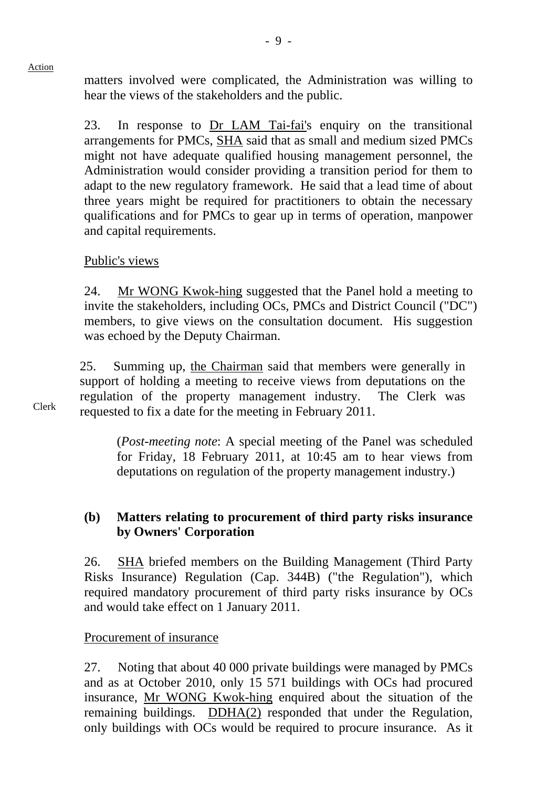matters involved were complicated, the Administration was willing to hear the views of the stakeholders and the public.

23. In response to Dr LAM Tai-fai's enquiry on the transitional arrangements for PMCs, SHA said that as small and medium sized PMCs might not have adequate qualified housing management personnel, the Administration would consider providing a transition period for them to adapt to the new regulatory framework. He said that a lead time of about three years might be required for practitioners to obtain the necessary qualifications and for PMCs to gear up in terms of operation, manpower and capital requirements.

## Public's views

24. Mr WONG Kwok-hing suggested that the Panel hold a meeting to invite the stakeholders, including OCs, PMCs and District Council ("DC") members, to give views on the consultation document. His suggestion was echoed by the Deputy Chairman.

25. Summing up, the Chairman said that members were generally in support of holding a meeting to receive views from deputations on the regulation of the property management industry. The Clerk was requested to fix a date for the meeting in February 2011.

 (*Post-meeting note*: A special meeting of the Panel was scheduled for Friday, 18 February 2011, at 10:45 am to hear views from deputations on regulation of the property management industry.)

## **(b) Matters relating to procurement of third party risks insurance by Owners' Corporation**

26. SHA briefed members on the Building Management (Third Party Risks Insurance) Regulation (Cap. 344B) ("the Regulation"), which required mandatory procurement of third party risks insurance by OCs and would take effect on 1 January 2011.

#### Procurement of insurance

27. Noting that about 40 000 private buildings were managed by PMCs and as at October 2010, only 15 571 buildings with OCs had procured insurance, Mr WONG Kwok-hing enquired about the situation of the remaining buildings. DDHA(2) responded that under the Regulation, only buildings with OCs would be required to procure insurance. As it

Clerk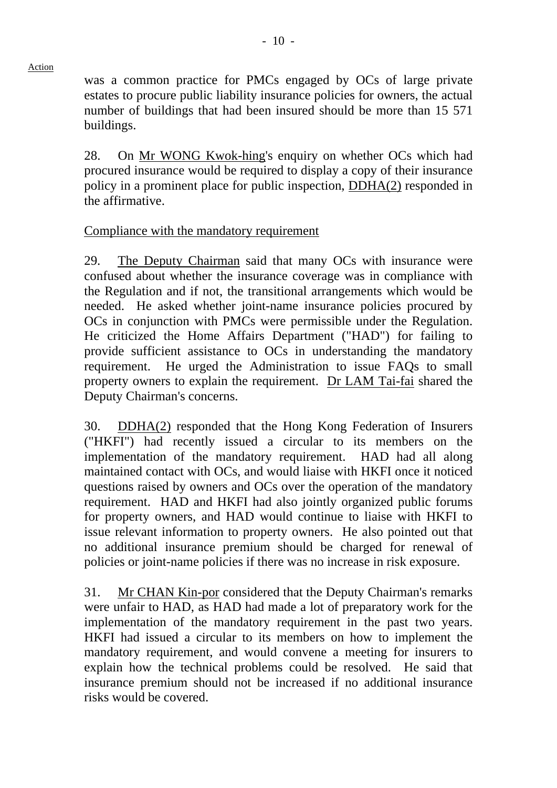was a common practice for PMCs engaged by OCs of large private estates to procure public liability insurance policies for owners, the actual number of buildings that had been insured should be more than 15 571 buildings.

 $-10 -$ 

28. On Mr WONG Kwok-hing's enquiry on whether OCs which had procured insurance would be required to display a copy of their insurance policy in a prominent place for public inspection, DDHA(2) responded in the affirmative.

## Compliance with the mandatory requirement

29. The Deputy Chairman said that many OCs with insurance were confused about whether the insurance coverage was in compliance with the Regulation and if not, the transitional arrangements which would be needed. He asked whether joint-name insurance policies procured by OCs in conjunction with PMCs were permissible under the Regulation. He criticized the Home Affairs Department ("HAD") for failing to provide sufficient assistance to OCs in understanding the mandatory requirement. He urged the Administration to issue FAQs to small property owners to explain the requirement. Dr LAM Tai-fai shared the Deputy Chairman's concerns.

30. DDHA(2) responded that the Hong Kong Federation of Insurers ("HKFI") had recently issued a circular to its members on the implementation of the mandatory requirement. HAD had all along maintained contact with OCs, and would liaise with HKFI once it noticed questions raised by owners and OCs over the operation of the mandatory requirement. HAD and HKFI had also jointly organized public forums for property owners, and HAD would continue to liaise with HKFI to issue relevant information to property owners. He also pointed out that no additional insurance premium should be charged for renewal of policies or joint-name policies if there was no increase in risk exposure.

31. Mr CHAN Kin-por considered that the Deputy Chairman's remarks were unfair to HAD, as HAD had made a lot of preparatory work for the implementation of the mandatory requirement in the past two years. HKFI had issued a circular to its members on how to implement the mandatory requirement, and would convene a meeting for insurers to explain how the technical problems could be resolved. He said that insurance premium should not be increased if no additional insurance risks would be covered.

Action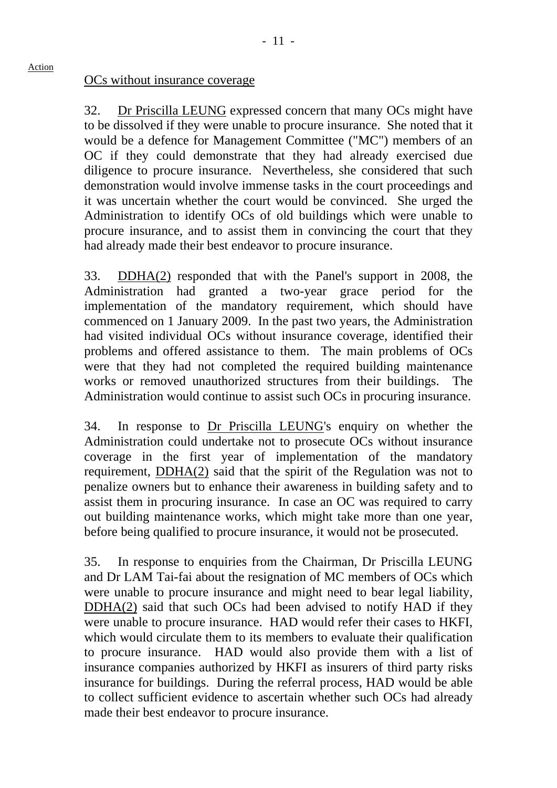#### OCs without insurance coverage

Action

32. Dr Priscilla LEUNG expressed concern that many OCs might have to be dissolved if they were unable to procure insurance. She noted that it would be a defence for Management Committee ("MC") members of an OC if they could demonstrate that they had already exercised due diligence to procure insurance. Nevertheless, she considered that such demonstration would involve immense tasks in the court proceedings and it was uncertain whether the court would be convinced. She urged the Administration to identify OCs of old buildings which were unable to procure insurance, and to assist them in convincing the court that they had already made their best endeavor to procure insurance.

33. DDHA(2) responded that with the Panel's support in 2008, the Administration had granted a two-year grace period for the implementation of the mandatory requirement, which should have commenced on 1 January 2009. In the past two years, the Administration had visited individual OCs without insurance coverage, identified their problems and offered assistance to them. The main problems of OCs were that they had not completed the required building maintenance works or removed unauthorized structures from their buildings. The Administration would continue to assist such OCs in procuring insurance.

34. In response to Dr Priscilla LEUNG's enquiry on whether the Administration could undertake not to prosecute OCs without insurance coverage in the first year of implementation of the mandatory requirement, DDHA(2) said that the spirit of the Regulation was not to penalize owners but to enhance their awareness in building safety and to assist them in procuring insurance. In case an OC was required to carry out building maintenance works, which might take more than one year, before being qualified to procure insurance, it would not be prosecuted.

35. In response to enquiries from the Chairman, Dr Priscilla LEUNG and Dr LAM Tai-fai about the resignation of MC members of OCs which were unable to procure insurance and might need to bear legal liability, DDHA(2) said that such OCs had been advised to notify HAD if they were unable to procure insurance. HAD would refer their cases to HKFI, which would circulate them to its members to evaluate their qualification to procure insurance. HAD would also provide them with a list of insurance companies authorized by HKFI as insurers of third party risks insurance for buildings. During the referral process, HAD would be able to collect sufficient evidence to ascertain whether such OCs had already made their best endeavor to procure insurance.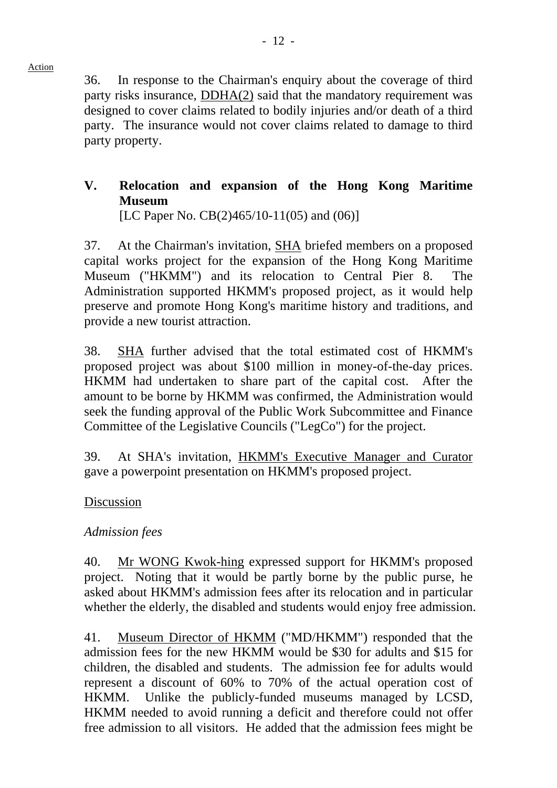36. In response to the Chairman's enquiry about the coverage of third party risks insurance, DDHA(2) said that the mandatory requirement was designed to cover claims related to bodily injuries and/or death of a third party. The insurance would not cover claims related to damage to third party property.

# **V. Relocation and expansion of the Hong Kong Maritime Museum**

[LC Paper No. CB(2)465/10-11(05) and (06)]

37. At the Chairman's invitation, SHA briefed members on a proposed capital works project for the expansion of the Hong Kong Maritime Museum ("HKMM") and its relocation to Central Pier 8. The Administration supported HKMM's proposed project, as it would help preserve and promote Hong Kong's maritime history and traditions, and provide a new tourist attraction.

38. SHA further advised that the total estimated cost of HKMM's proposed project was about \$100 million in money-of-the-day prices. HKMM had undertaken to share part of the capital cost. After the amount to be borne by HKMM was confirmed, the Administration would seek the funding approval of the Public Work Subcommittee and Finance Committee of the Legislative Councils ("LegCo") for the project.

39. At SHA's invitation, HKMM's Executive Manager and Curator gave a powerpoint presentation on HKMM's proposed project.

## Discussion

## *Admission fees*

40. Mr WONG Kwok-hing expressed support for HKMM's proposed project. Noting that it would be partly borne by the public purse, he asked about HKMM's admission fees after its relocation and in particular whether the elderly, the disabled and students would enjoy free admission.

41. Museum Director of HKMM ("MD/HKMM") responded that the admission fees for the new HKMM would be \$30 for adults and \$15 for children, the disabled and students. The admission fee for adults would represent a discount of 60% to 70% of the actual operation cost of HKMM. Unlike the publicly-funded museums managed by LCSD, HKMM needed to avoid running a deficit and therefore could not offer free admission to all visitors. He added that the admission fees might be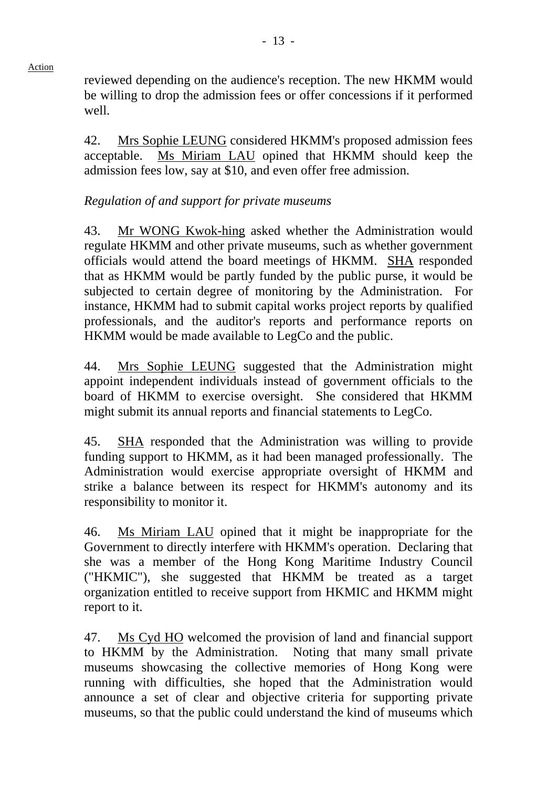reviewed depending on the audience's reception. The new HKMM would be willing to drop the admission fees or offer concessions if it performed well.

42. Mrs Sophie LEUNG considered HKMM's proposed admission fees acceptable. Ms Miriam LAU opined that HKMM should keep the admission fees low, say at \$10, and even offer free admission.

#### *Regulation of and support for private museums*

43. Mr WONG Kwok-hing asked whether the Administration would regulate HKMM and other private museums, such as whether government officials would attend the board meetings of HKMM. SHA responded that as HKMM would be partly funded by the public purse, it would be subjected to certain degree of monitoring by the Administration. For instance, HKMM had to submit capital works project reports by qualified professionals, and the auditor's reports and performance reports on HKMM would be made available to LegCo and the public.

44. Mrs Sophie LEUNG suggested that the Administration might appoint independent individuals instead of government officials to the board of HKMM to exercise oversight. She considered that HKMM might submit its annual reports and financial statements to LegCo.

45. SHA responded that the Administration was willing to provide funding support to HKMM, as it had been managed professionally. The Administration would exercise appropriate oversight of HKMM and strike a balance between its respect for HKMM's autonomy and its responsibility to monitor it.

46. Ms Miriam LAU opined that it might be inappropriate for the Government to directly interfere with HKMM's operation. Declaring that she was a member of the Hong Kong Maritime Industry Council ("HKMIC"), she suggested that HKMM be treated as a target organization entitled to receive support from HKMIC and HKMM might report to it.

47. Ms Cyd HO welcomed the provision of land and financial support to HKMM by the Administration. Noting that many small private museums showcasing the collective memories of Hong Kong were running with difficulties, she hoped that the Administration would announce a set of clear and objective criteria for supporting private museums, so that the public could understand the kind of museums which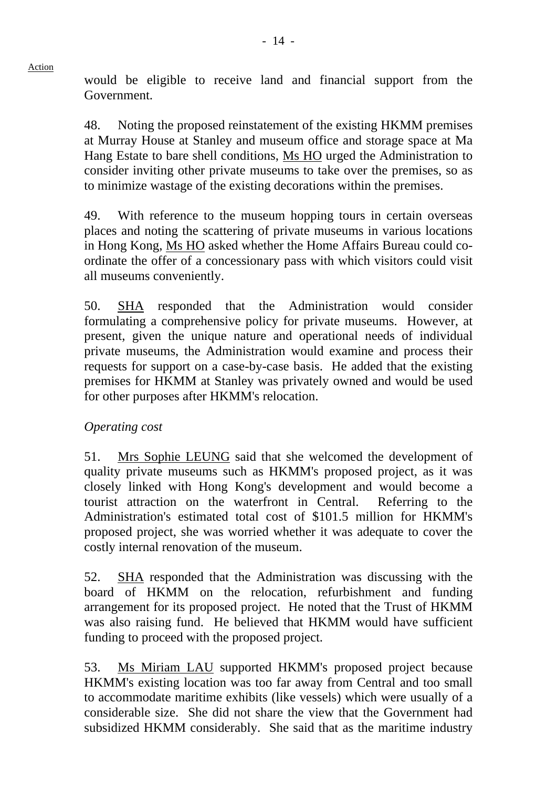would be eligible to receive land and financial support from the Government.

48. Noting the proposed reinstatement of the existing HKMM premises at Murray House at Stanley and museum office and storage space at Ma Hang Estate to bare shell conditions, Ms HO urged the Administration to consider inviting other private museums to take over the premises, so as to minimize wastage of the existing decorations within the premises.

49. With reference to the museum hopping tours in certain overseas places and noting the scattering of private museums in various locations in Hong Kong, Ms HO asked whether the Home Affairs Bureau could coordinate the offer of a concessionary pass with which visitors could visit all museums conveniently.

50. SHA responded that the Administration would consider formulating a comprehensive policy for private museums. However, at present, given the unique nature and operational needs of individual private museums, the Administration would examine and process their requests for support on a case-by-case basis. He added that the existing premises for HKMM at Stanley was privately owned and would be used for other purposes after HKMM's relocation.

## *Operating cost*

51. Mrs Sophie LEUNG said that she welcomed the development of quality private museums such as HKMM's proposed project, as it was closely linked with Hong Kong's development and would become a tourist attraction on the waterfront in Central. Referring to the Administration's estimated total cost of \$101.5 million for HKMM's proposed project, she was worried whether it was adequate to cover the costly internal renovation of the museum.

52. SHA responded that the Administration was discussing with the board of HKMM on the relocation, refurbishment and funding arrangement for its proposed project. He noted that the Trust of HKMM was also raising fund. He believed that HKMM would have sufficient funding to proceed with the proposed project.

53. Ms Miriam LAU supported HKMM's proposed project because HKMM's existing location was too far away from Central and too small to accommodate maritime exhibits (like vessels) which were usually of a considerable size. She did not share the view that the Government had subsidized HKMM considerably. She said that as the maritime industry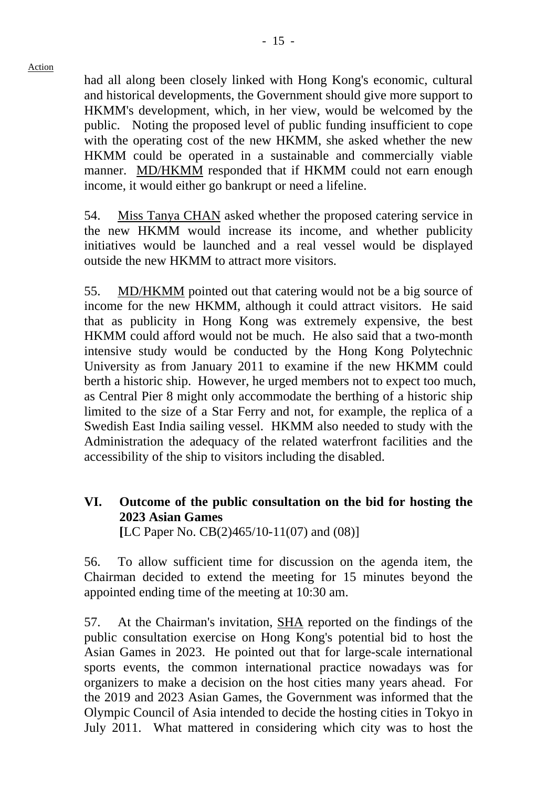had all along been closely linked with Hong Kong's economic, cultural and historical developments, the Government should give more support to HKMM's development, which, in her view, would be welcomed by the public. Noting the proposed level of public funding insufficient to cope with the operating cost of the new HKMM, she asked whether the new HKMM could be operated in a sustainable and commercially viable manner. MD/HKMM responded that if HKMM could not earn enough income, it would either go bankrupt or need a lifeline.

54. Miss Tanya CHAN asked whether the proposed catering service in the new HKMM would increase its income, and whether publicity initiatives would be launched and a real vessel would be displayed outside the new HKMM to attract more visitors.

55. MD/HKMM pointed out that catering would not be a big source of income for the new HKMM, although it could attract visitors. He said that as publicity in Hong Kong was extremely expensive, the best HKMM could afford would not be much. He also said that a two-month intensive study would be conducted by the Hong Kong Polytechnic University as from January 2011 to examine if the new HKMM could berth a historic ship. However, he urged members not to expect too much, as Central Pier 8 might only accommodate the berthing of a historic ship limited to the size of a Star Ferry and not, for example, the replica of a Swedish East India sailing vessel. HKMM also needed to study with the Administration the adequacy of the related waterfront facilities and the accessibility of the ship to visitors including the disabled.

# **VI. Outcome of the public consultation on the bid for hosting the 2023 Asian Games**

 **[**LC Paper No. CB(2)465/10-11(07) and (08)]

56. To allow sufficient time for discussion on the agenda item, the Chairman decided to extend the meeting for 15 minutes beyond the appointed ending time of the meeting at 10:30 am.

57. At the Chairman's invitation, SHA reported on the findings of the public consultation exercise on Hong Kong's potential bid to host the Asian Games in 2023. He pointed out that for large-scale international sports events, the common international practice nowadays was for organizers to make a decision on the host cities many years ahead. For the 2019 and 2023 Asian Games, the Government was informed that the Olympic Council of Asia intended to decide the hosting cities in Tokyo in July 2011. What mattered in considering which city was to host the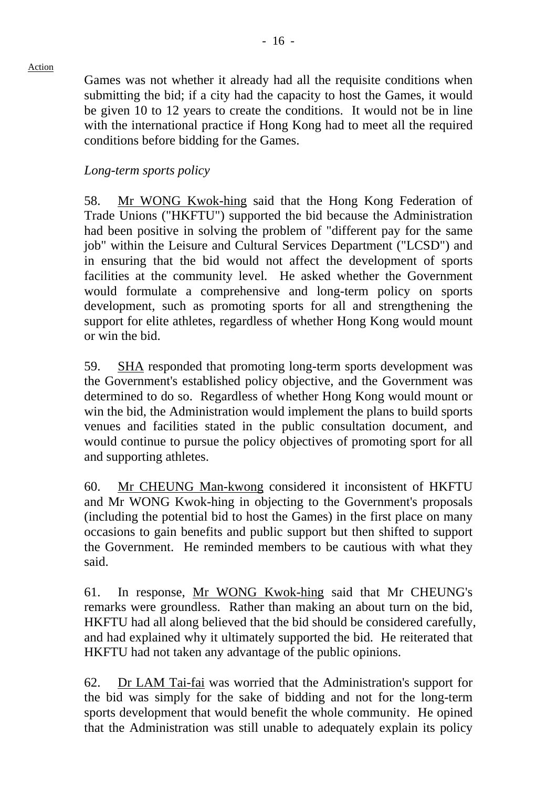Games was not whether it already had all the requisite conditions when submitting the bid; if a city had the capacity to host the Games, it would be given 10 to 12 years to create the conditions. It would not be in line with the international practice if Hong Kong had to meet all the required conditions before bidding for the Games.

## *Long-term sports policy*

58. Mr WONG Kwok-hing said that the Hong Kong Federation of Trade Unions ("HKFTU") supported the bid because the Administration had been positive in solving the problem of "different pay for the same job" within the Leisure and Cultural Services Department ("LCSD") and in ensuring that the bid would not affect the development of sports facilities at the community level. He asked whether the Government would formulate a comprehensive and long-term policy on sports development, such as promoting sports for all and strengthening the support for elite athletes, regardless of whether Hong Kong would mount or win the bid.

59. SHA responded that promoting long-term sports development was the Government's established policy objective, and the Government was determined to do so. Regardless of whether Hong Kong would mount or win the bid, the Administration would implement the plans to build sports venues and facilities stated in the public consultation document, and would continue to pursue the policy objectives of promoting sport for all and supporting athletes.

60. Mr CHEUNG Man-kwong considered it inconsistent of HKFTU and Mr WONG Kwok-hing in objecting to the Government's proposals (including the potential bid to host the Games) in the first place on many occasions to gain benefits and public support but then shifted to support the Government. He reminded members to be cautious with what they said.

61. In response, Mr WONG Kwok-hing said that Mr CHEUNG's remarks were groundless. Rather than making an about turn on the bid, HKFTU had all along believed that the bid should be considered carefully, and had explained why it ultimately supported the bid. He reiterated that HKFTU had not taken any advantage of the public opinions.

62. Dr LAM Tai-fai was worried that the Administration's support for the bid was simply for the sake of bidding and not for the long-term sports development that would benefit the whole community. He opined that the Administration was still unable to adequately explain its policy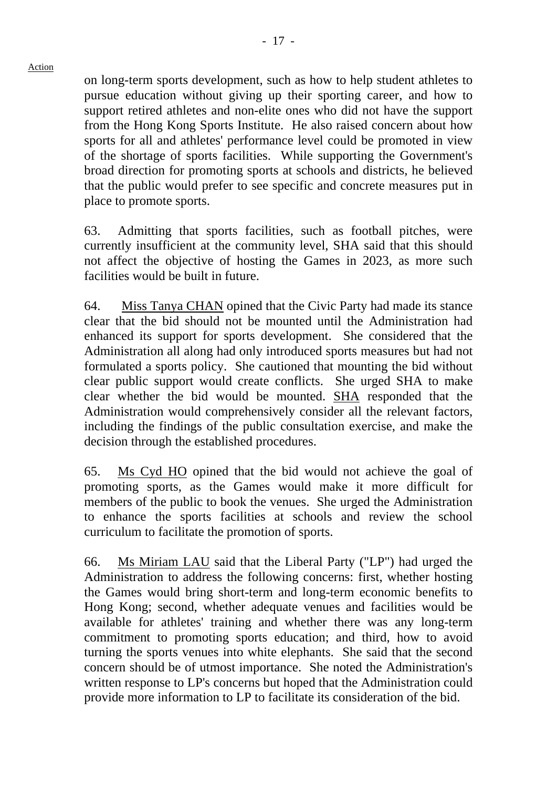on long-term sports development, such as how to help student athletes to pursue education without giving up their sporting career, and how to support retired athletes and non-elite ones who did not have the support from the Hong Kong Sports Institute. He also raised concern about how sports for all and athletes' performance level could be promoted in view of the shortage of sports facilities. While supporting the Government's broad direction for promoting sports at schools and districts, he believed that the public would prefer to see specific and concrete measures put in place to promote sports.

63. Admitting that sports facilities, such as football pitches, were currently insufficient at the community level, SHA said that this should not affect the objective of hosting the Games in 2023, as more such facilities would be built in future.

64. Miss Tanya CHAN opined that the Civic Party had made its stance clear that the bid should not be mounted until the Administration had enhanced its support for sports development. She considered that the Administration all along had only introduced sports measures but had not formulated a sports policy. She cautioned that mounting the bid without clear public support would create conflicts. She urged SHA to make clear whether the bid would be mounted. SHA responded that the Administration would comprehensively consider all the relevant factors, including the findings of the public consultation exercise, and make the decision through the established procedures.

65. Ms Cyd HO opined that the bid would not achieve the goal of promoting sports, as the Games would make it more difficult for members of the public to book the venues. She urged the Administration to enhance the sports facilities at schools and review the school curriculum to facilitate the promotion of sports.

66. Ms Miriam LAU said that the Liberal Party ("LP") had urged the Administration to address the following concerns: first, whether hosting the Games would bring short-term and long-term economic benefits to Hong Kong; second, whether adequate venues and facilities would be available for athletes' training and whether there was any long-term commitment to promoting sports education; and third, how to avoid turning the sports venues into white elephants. She said that the second concern should be of utmost importance. She noted the Administration's written response to LP's concerns but hoped that the Administration could provide more information to LP to facilitate its consideration of the bid.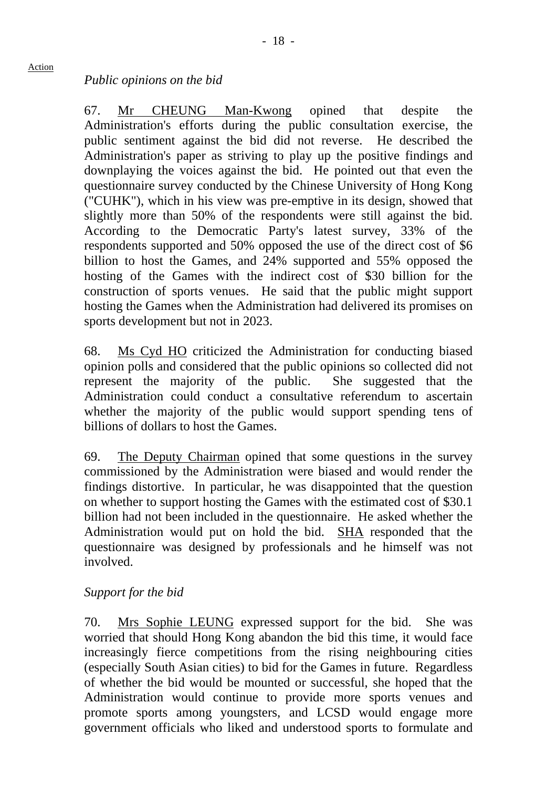#### *Public opinions on the bid*

67. Mr CHEUNG Man-Kwong opined that despite the Administration's efforts during the public consultation exercise, the public sentiment against the bid did not reverse. He described the Administration's paper as striving to play up the positive findings and downplaying the voices against the bid. He pointed out that even the questionnaire survey conducted by the Chinese University of Hong Kong ("CUHK"), which in his view was pre-emptive in its design, showed that slightly more than 50% of the respondents were still against the bid. According to the Democratic Party's latest survey, 33% of the respondents supported and 50% opposed the use of the direct cost of \$6 billion to host the Games, and 24% supported and 55% opposed the hosting of the Games with the indirect cost of \$30 billion for the construction of sports venues. He said that the public might support hosting the Games when the Administration had delivered its promises on sports development but not in 2023.

68. Ms Cyd HO criticized the Administration for conducting biased opinion polls and considered that the public opinions so collected did not represent the majority of the public. She suggested that the Administration could conduct a consultative referendum to ascertain whether the majority of the public would support spending tens of billions of dollars to host the Games.

69. The Deputy Chairman opined that some questions in the survey commissioned by the Administration were biased and would render the findings distortive. In particular, he was disappointed that the question on whether to support hosting the Games with the estimated cost of \$30.1 billion had not been included in the questionnaire. He asked whether the Administration would put on hold the bid. SHA responded that the questionnaire was designed by professionals and he himself was not involved.

#### *Support for the bid*

70. Mrs Sophie LEUNG expressed support for the bid. She was worried that should Hong Kong abandon the bid this time, it would face increasingly fierce competitions from the rising neighbouring cities (especially South Asian cities) to bid for the Games in future. Regardless of whether the bid would be mounted or successful, she hoped that the Administration would continue to provide more sports venues and promote sports among youngsters, and LCSD would engage more government officials who liked and understood sports to formulate and

Action